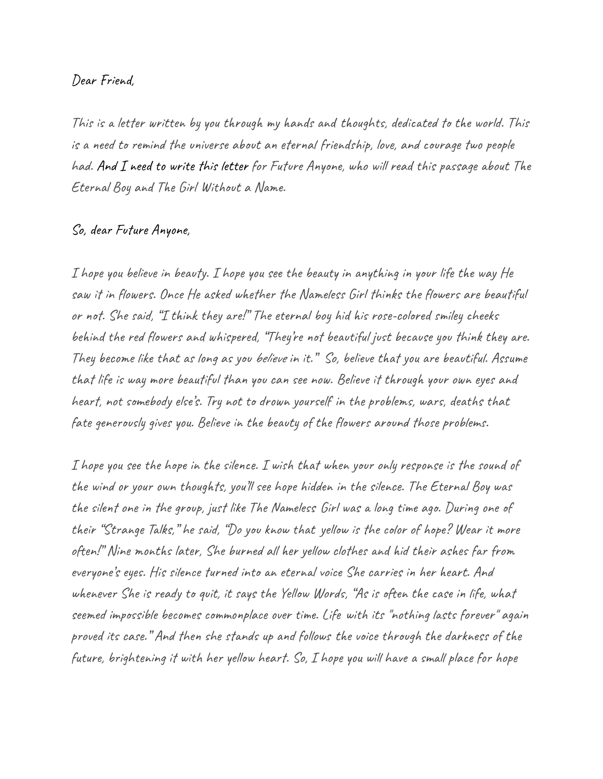## Dear Friend,

This is a letter written by you through my hands and thoughts, dedicated to the world. This is a need to remind the universe about an eternal friendship, love, and courage two people had. And I need to write this letter for Future Anyone, who will read this passage about The Eternal Boy and The Girl Without a Name.

## So, dear Future Anyone,

I hope you believe in beauty. I hope you see the beauty in anything in your life the way He saw it in flowers. Once He asked whether the Nameless Girl thinks the flowers are beautiful or not. She said, "I think they are!" The eternal boy hid his rose-colored smiley cheeks behind the red flowers and whispered, "They're not beautiful just because you think they are. They become like that as long as you believe in it." So, believe that you are beautiful. Assume that life is way more beautiful than you can see now. Believe it through your own eyes and heart, not somebody else's. Try not to drown yourself in the problems, wars, deaths that fate generously gives you. Believe in the beauty of the flowers around those problems.

I hope you see the hope in the silence. I wish that when your only response is the sound of the wind or your own thoughts, you'll see hope hidden in the silence. The Eternal Boy was the silent one in the group, just like The Nameless Girl was a long time ago. During one of their "Strange Talks," he said, "Do you know that yellow is the color of hope? Wear it more often!" Nine months later, She burned all her yellow clothes and hid their ashes far from everyone's eyes. His silence turned into an eternal voice She carries in her heart. And whenever She is ready to quit, it says the Yellow Words, "As is often the case in life, what seemed impossible becomes commonplace over time. Life with its "nothing lasts forever" again proved its case." And then she stands up and follows the voice through the darkness of the future, brightening it with her yellow heart. So, I hope you will have a small place for hope